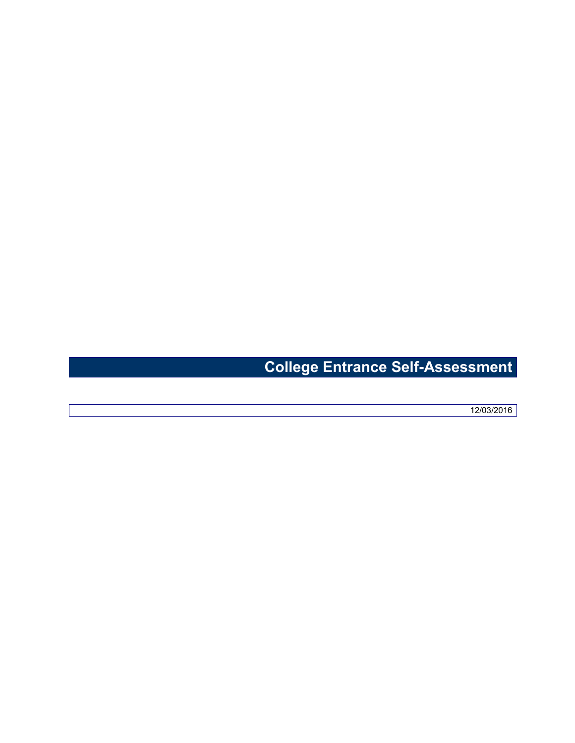## **College Entrance Self-Assessment**

12/03/2016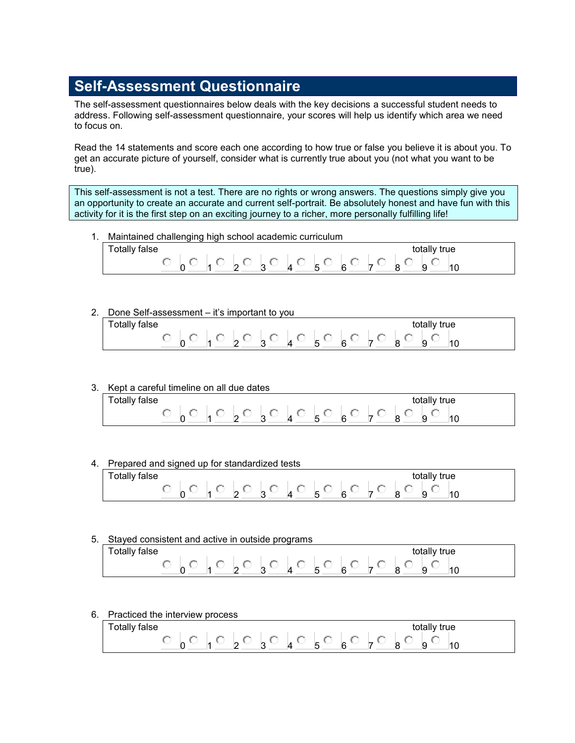## **Self-Assessment Questionnaire**

The self-assessment questionnaires below deals with the key decisions a successful student needs to address. Following self-assessment questionnaire, your scores will help us identify which area we need to focus on.

Read the 14 statements and score each one according to how true or false you believe it is about you. To get an accurate picture of yourself, consider what is currently true about you (not what you want to be true).

This self-assessment is not a test. There are no rights or wrong answers. The questions simply give you an opportunity to create an accurate and current self-portrait. Be absolutely honest and have fun with this activity for it is the first step on an exciting journey to a richer, more personally fulfilling life!

1. Maintained challenging high school academic curriculum

| talse<br>l otally |        |  |  |  |  | totally true |  |
|-------------------|--------|--|--|--|--|--------------|--|
|                   | $\sim$ |  |  |  |  | $\sim$       |  |

2. Done Self-assessment – it's important to you

| talse<br>l otally |        |  |  |  |  | totally true |  |
|-------------------|--------|--|--|--|--|--------------|--|
|                   | $\sim$ |  |  |  |  | $\sim$       |  |

3. Kept a careful timeline on all due dates

| Totally false |                          |             |                  |                                                                                                                                                                                                                                      |                                |             |                               |        | totally true                  |                                |
|---------------|--------------------------|-------------|------------------|--------------------------------------------------------------------------------------------------------------------------------------------------------------------------------------------------------------------------------------|--------------------------------|-------------|-------------------------------|--------|-------------------------------|--------------------------------|
|               | $\overline{\phantom{0}}$ | $\sim$<br>- | $\sim$<br>$\sim$ | <b>State of the Contract of the Contract of the Contract of the Contract of the Contract of the Contract of the Contract of the Contract of the Contract of the Contract of the Contract of the Contract of The Contract of The </b> | $\overline{\phantom{0}}$<br>., | $\sim$<br>- | $\overline{\phantom{a}}$<br>◡ | $\sim$ | $\overline{\phantom{a}}$<br>c | $\overline{\phantom{a}}$<br>١U |

4. Prepared and signed up for standardized tests

| false<br>otally |   |   |        |                  |        |                                                  |        |                                    |   | totally                       | ' true |
|-----------------|---|---|--------|------------------|--------|--------------------------------------------------|--------|------------------------------------|---|-------------------------------|--------|
|                 | - | - | ⌒<br>- | $\sim$<br>$\sim$ | $\sim$ | $\overline{\phantom{0}}$<br>$\ddot{\phantom{a}}$ | $\sim$ | $\overline{\phantom{a}}$<br>$\sim$ | ∽ | $\overline{\phantom{a}}$<br>ັ | u      |

5. Stayed consistent and active in outside programs

| Totally false |  |      |                                                                         |  |                                                                                 |  | totally true |  |
|---------------|--|------|-------------------------------------------------------------------------|--|---------------------------------------------------------------------------------|--|--------------|--|
|               |  | - 60 | $\begin{array}{ccc} \ddots & \circ & \circ & \circ & \circ \end{array}$ |  | $\frac{1}{5}$ $\circ$ $\frac{1}{6}$ $\circ$ $\frac{1}{7}$ $\circ$ $\frac{1}{8}$ |  | $\sim$       |  |

6. Practiced the interview process

| Totally <sub>1</sub><br>false |             |                                                            | totally true                                                                                        |
|-------------------------------|-------------|------------------------------------------------------------|-----------------------------------------------------------------------------------------------------|
| -                             | $\sim$<br>- | $\overline{\phantom{0}}$<br>$\sim$<br>$\epsilon$<br>$\sim$ | $\overline{\phantom{a}}$<br>$\sim$<br>$\sim$<br>س<br>$\overline{\phantom{a}}$<br>$\sim$<br>l U<br>e |